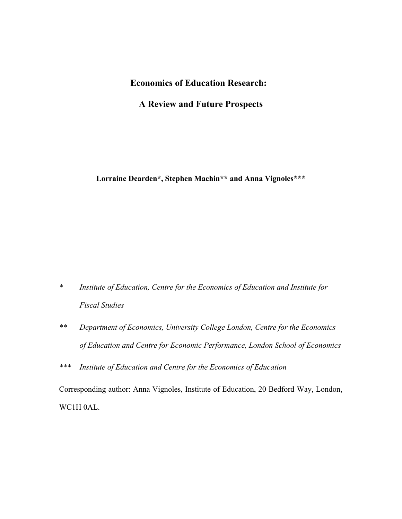# **Economics of Education Research:**

# **A Review and Future Prospects**

**Lorraine Dearden\*, Stephen Machin\*\* and Anna Vignoles\*\*\***

- *\* Institute of Education, Centre for the Economics of Education and Institute for Fiscal Studies*
- *\*\* Department of Economics, University College London, Centre for the Economics of Education and Centre for Economic Performance, London School of Economics*
- *\*\*\* Institute of Education and Centre for the Economics of Education*

Corresponding author: Anna Vignoles, Institute of Education, 20 Bedford Way, London, WC1H 0AL.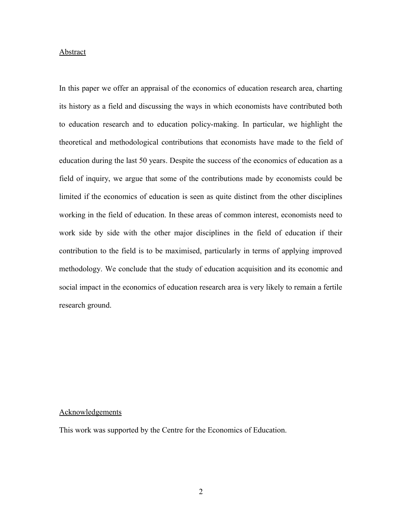#### Abstract

In this paper we offer an appraisal of the economics of education research area, charting its history as a field and discussing the ways in which economists have contributed both to education research and to education policy-making. In particular, we highlight the theoretical and methodological contributions that economists have made to the field of education during the last 50 years. Despite the success of the economics of education as a field of inquiry, we argue that some of the contributions made by economists could be limited if the economics of education is seen as quite distinct from the other disciplines working in the field of education. In these areas of common interest, economists need to work side by side with the other major disciplines in the field of education if their contribution to the field is to be maximised, particularly in terms of applying improved methodology. We conclude that the study of education acquisition and its economic and social impact in the economics of education research area is very likely to remain a fertile research ground.

# **Acknowledgements**

This work was supported by the Centre for the Economics of Education.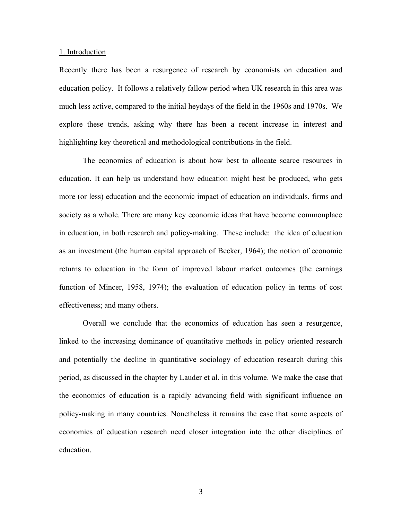## 1. Introduction

Recently there has been a resurgence of research by economists on education and education policy. It follows a relatively fallow period when UK research in this area was much less active, compared to the initial heydays of the field in the 1960s and 1970s. We explore these trends, asking why there has been a recent increase in interest and highlighting key theoretical and methodological contributions in the field.

The economics of education is about how best to allocate scarce resources in education. It can help us understand how education might best be produced, who gets more (or less) education and the economic impact of education on individuals, firms and society as a whole. There are many key economic ideas that have become commonplace in education, in both research and policy-making. These include: the idea of education as an investment (the human capital approach of Becker, 1964); the notion of economic returns to education in the form of improved labour market outcomes (the earnings function of Mincer, 1958, 1974); the evaluation of education policy in terms of cost effectiveness; and many others.

Overall we conclude that the economics of education has seen a resurgence, linked to the increasing dominance of quantitative methods in policy oriented research and potentially the decline in quantitative sociology of education research during this period, as discussed in the chapter by Lauder et al. in this volume. We make the case that the economics of education is a rapidly advancing field with significant influence on policy-making in many countries. Nonetheless it remains the case that some aspects of economics of education research need closer integration into the other disciplines of education.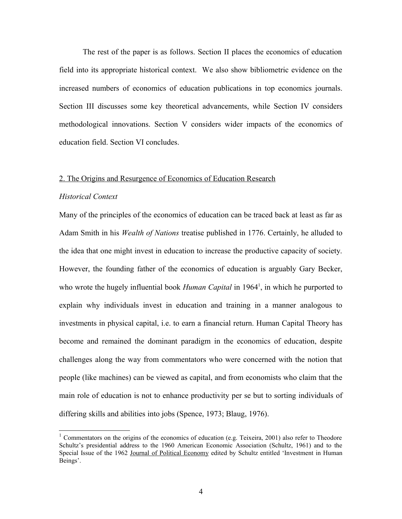The rest of the paper is as follows. Section II places the economics of education field into its appropriate historical context. We also show bibliometric evidence on the increased numbers of economics of education publications in top economics journals. Section III discusses some key theoretical advancements, while Section IV considers methodological innovations. Section V considers wider impacts of the economics of education field. Section VI concludes.

#### 2. The Origins and Resurgence of Economics of Education Research

## *Historical Context*

Many of the principles of the economics of education can be traced back at least as far as Adam Smith in his *Wealth of Nations* treatise published in 1776. Certainly, he alluded to the idea that one might invest in education to increase the productive capacity of society. However, the founding father of the economics of education is arguably Gary Becker, who wrote the hugely influential book *Human Capital* in [1](#page-3-0)964<sup>1</sup>, in which he purported to explain why individuals invest in education and training in a manner analogous to investments in physical capital, i.e. to earn a financial return. Human Capital Theory has become and remained the dominant paradigm in the economics of education, despite challenges along the way from commentators who were concerned with the notion that people (like machines) can be viewed as capital, and from economists who claim that the main role of education is not to enhance productivity per se but to sorting individuals of differing skills and abilities into jobs (Spence, 1973; Blaug, 1976).

<span id="page-3-0"></span><sup>&</sup>lt;sup>1</sup> Commentators on the origins of the economics of education (e.g. Teixeira, 2001) also refer to Theodore Schultz's presidential address to the 1960 American Economic Association (Schultz, 1961) and to the Special Issue of the 1962 Journal of Political Economy edited by Schultz entitled 'Investment in Human Beings'.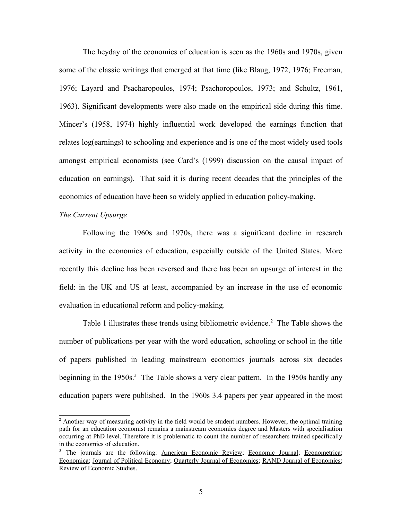The heyday of the economics of education is seen as the 1960s and 1970s, given some of the classic writings that emerged at that time (like Blaug, 1972, 1976; Freeman, 1976; Layard and Psacharopoulos, 1974; Psachoropoulos, 1973; and Schultz, 1961, 1963). Significant developments were also made on the empirical side during this time. Mincer's (1958, 1974) highly influential work developed the earnings function that relates log(earnings) to schooling and experience and is one of the most widely used tools amongst empirical economists (see Card's (1999) discussion on the causal impact of education on earnings). That said it is during recent decades that the principles of the economics of education have been so widely applied in education policy-making.

# *The Current Upsurge*

Following the 1960s and 1970s, there was a significant decline in research activity in the economics of education, especially outside of the United States. More recently this decline has been reversed and there has been an upsurge of interest in the field: in the UK and US at least, accompanied by an increase in the use of economic evaluation in educational reform and policy-making.

Table 1 illustrates these trends using bibliometric evidence.<sup>[2](#page-4-0)</sup> The Table shows the number of publications per year with the word education, schooling or school in the title of papers published in leading mainstream economics journals across six decades beginning in the 1950s.<sup>[3](#page-4-1)</sup> The Table shows a very clear pattern. In the 1950s hardly any education papers were published. In the 1960s 3.4 papers per year appeared in the most

<span id="page-4-0"></span><sup>&</sup>lt;sup>2</sup> Another way of measuring activity in the field would be student numbers. However, the optimal training path for an education economist remains a mainstream economics degree and Masters with specialisation occurring at PhD level. Therefore it is problematic to count the number of researchers trained specifically in the economics of education.

<span id="page-4-1"></span><sup>&</sup>lt;sup>3</sup> The journals are the following: <u>American Economic Review; Economic Journal; Econometrica</u>; Economica; Journal of Political Economy; Quarterly Journal of Economics; RAND Journal of Economics; Review of Economic Studies.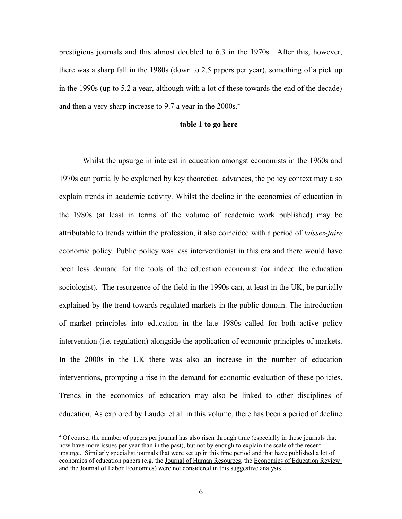prestigious journals and this almost doubled to 6.3 in the 1970s. After this, however, there was a sharp fall in the 1980s (down to 2.5 papers per year), something of a pick up in the 1990s (up to 5.2 a year, although with a lot of these towards the end of the decade) and then a very sharp increase to 9.7 a year in the  $2000s<sup>4</sup>$  $2000s<sup>4</sup>$  $2000s<sup>4</sup>$ .

#### - **table 1 to go here –**

Whilst the upsurge in interest in education amongst economists in the 1960s and 1970s can partially be explained by key theoretical advances, the policy context may also explain trends in academic activity. Whilst the decline in the economics of education in the 1980s (at least in terms of the volume of academic work published) may be attributable to trends within the profession, it also coincided with a period of *laissez-faire* economic policy. Public policy was less interventionist in this era and there would have been less demand for the tools of the education economist (or indeed the education sociologist). The resurgence of the field in the 1990s can, at least in the UK, be partially explained by the trend towards regulated markets in the public domain. The introduction of market principles into education in the late 1980s called for both active policy intervention (i.e. regulation) alongside the application of economic principles of markets. In the 2000s in the UK there was also an increase in the number of education interventions, prompting a rise in the demand for economic evaluation of these policies. Trends in the economics of education may also be linked to other disciplines of education. As explored by Lauder et al. in this volume, there has been a period of decline

<span id="page-5-0"></span><sup>4</sup> Of course, the number of papers per journal has also risen through time (especially in those journals that now have more issues per year than in the past), but not by enough to explain the scale of the recent upsurge. Similarly specialist journals that were set up in this time period and that have published a lot of economics of education papers (e.g. the Journal of Human Resources, the Economics of Education Review and the Journal of Labor Economics) were not considered in this suggestive analysis.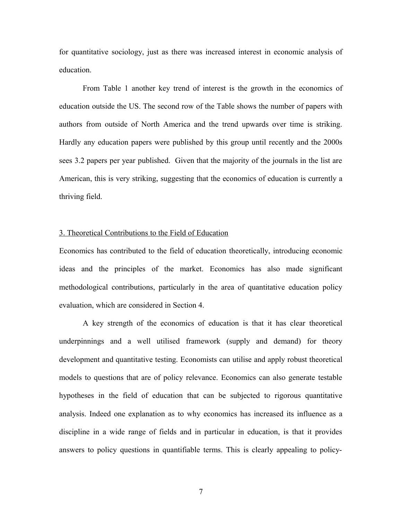for quantitative sociology, just as there was increased interest in economic analysis of education.

From Table 1 another key trend of interest is the growth in the economics of education outside the US. The second row of the Table shows the number of papers with authors from outside of North America and the trend upwards over time is striking. Hardly any education papers were published by this group until recently and the 2000s sees 3.2 papers per year published. Given that the majority of the journals in the list are American, this is very striking, suggesting that the economics of education is currently a thriving field.

## 3. Theoretical Contributions to the Field of Education

Economics has contributed to the field of education theoretically, introducing economic ideas and the principles of the market. Economics has also made significant methodological contributions, particularly in the area of quantitative education policy evaluation, which are considered in Section 4.

A key strength of the economics of education is that it has clear theoretical underpinnings and a well utilised framework (supply and demand) for theory development and quantitative testing. Economists can utilise and apply robust theoretical models to questions that are of policy relevance. Economics can also generate testable hypotheses in the field of education that can be subjected to rigorous quantitative analysis. Indeed one explanation as to why economics has increased its influence as a discipline in a wide range of fields and in particular in education, is that it provides answers to policy questions in quantifiable terms. This is clearly appealing to policy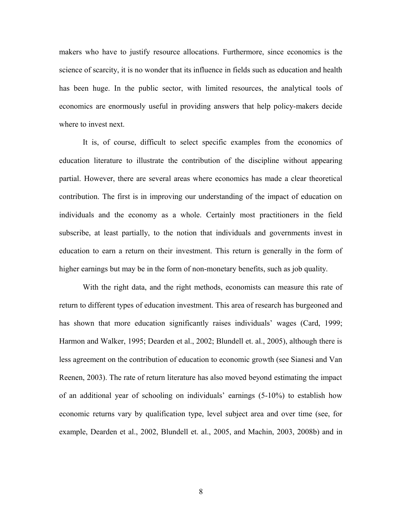makers who have to justify resource allocations. Furthermore, since economics is the science of scarcity, it is no wonder that its influence in fields such as education and health has been huge. In the public sector, with limited resources, the analytical tools of economics are enormously useful in providing answers that help policy-makers decide where to invest next.

It is, of course, difficult to select specific examples from the economics of education literature to illustrate the contribution of the discipline without appearing partial. However, there are several areas where economics has made a clear theoretical contribution. The first is in improving our understanding of the impact of education on individuals and the economy as a whole. Certainly most practitioners in the field subscribe, at least partially, to the notion that individuals and governments invest in education to earn a return on their investment. This return is generally in the form of higher earnings but may be in the form of non-monetary benefits, such as job quality.

With the right data, and the right methods, economists can measure this rate of return to different types of education investment. This area of research has burgeoned and has shown that more education significantly raises individuals' wages (Card, 1999; Harmon and Walker, 1995; Dearden et al., 2002; Blundell et. al., 2005), although there is less agreement on the contribution of education to economic growth (see Sianesi and Van Reenen, 2003). The rate of return literature has also moved beyond estimating the impact of an additional year of schooling on individuals' earnings (5-10%) to establish how economic returns vary by qualification type, level subject area and over time (see, for example, Dearden et al., 2002, Blundell et. al., 2005, and Machin, 2003, 2008b) and in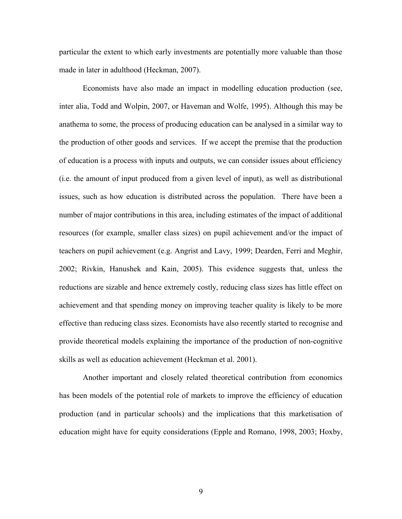particular the extent to which early investments are potentially more valuable than those made in later in adulthood (Heckman, 2007).

Economists have also made an impact in modelling education production (see, inter alia, Todd and Wolpin, 2007, or Haveman and Wolfe, 1995). Although this may be anathema to some, the process of producing education can be analysed in a similar way to the production of other goods and services. If we accept the premise that the production of education is a process with inputs and outputs, we can consider issues about efficiency (i.e. the amount of input produced from a given level of input), as well as distributional issues, such as how education is distributed across the population. There have been a number of major contributions in this area, including estimates of the impact of additional resources (for example, smaller class sizes) on pupil achievement and/or the impact of teachers on pupil achievement (e.g. Angrist and Lavy, 1999; Dearden, Ferri and Meghir, 2002; Rivkin, Hanushek and Kain, 2005). This evidence suggests that, unless the reductions are sizable and hence extremely costly, reducing class sizes has little effect on achievement and that spending money on improving teacher quality is likely to be more effective than reducing class sizes. Economists have also recently started to recognise and provide theoretical models explaining the importance of the production of non-cognitive skills as well as education achievement (Heckman et al. 2001).

Another important and closely related theoretical contribution from economics has been models of the potential role of markets to improve the efficiency of education production (and in particular schools) and the implications that this marketisation of education might have for equity considerations (Epple and Romano, 1998, 2003; Hoxby,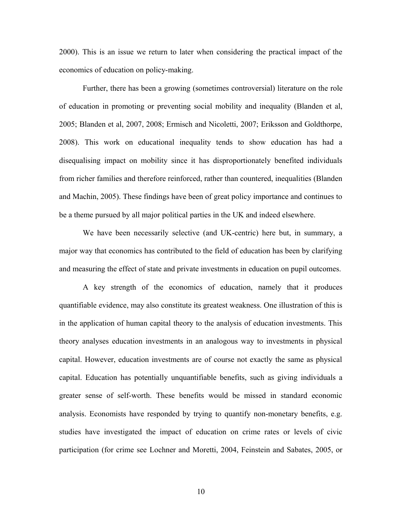2000). This is an issue we return to later when considering the practical impact of the economics of education on policy-making.

Further, there has been a growing (sometimes controversial) literature on the role of education in promoting or preventing social mobility and inequality (Blanden et al, 2005; Blanden et al, 2007, 2008; Ermisch and Nicoletti, 2007; Eriksson and Goldthorpe, 2008). This work on educational inequality tends to show education has had a disequalising impact on mobility since it has disproportionately benefited individuals from richer families and therefore reinforced, rather than countered, inequalities (Blanden and Machin, 2005). These findings have been of great policy importance and continues to be a theme pursued by all major political parties in the UK and indeed elsewhere.

We have been necessarily selective (and UK-centric) here but, in summary, a major way that economics has contributed to the field of education has been by clarifying and measuring the effect of state and private investments in education on pupil outcomes.

A key strength of the economics of education, namely that it produces quantifiable evidence, may also constitute its greatest weakness. One illustration of this is in the application of human capital theory to the analysis of education investments. This theory analyses education investments in an analogous way to investments in physical capital. However, education investments are of course not exactly the same as physical capital. Education has potentially unquantifiable benefits, such as giving individuals a greater sense of self-worth. These benefits would be missed in standard economic analysis. Economists have responded by trying to quantify non-monetary benefits, e.g. studies have investigated the impact of education on crime rates or levels of civic participation (for crime see Lochner and Moretti, 2004, Feinstein and Sabates, 2005, or

10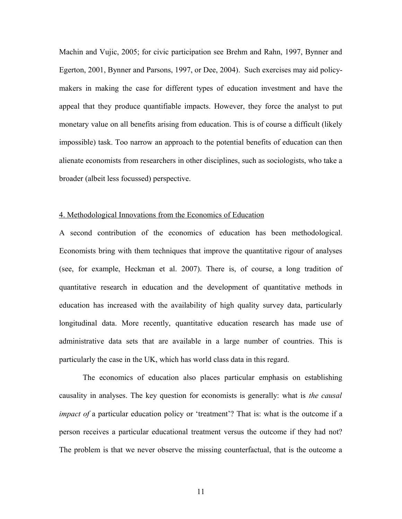Machin and Vujic, 2005; for civic participation see Brehm and Rahn, 1997, Bynner and Egerton, 2001, Bynner and Parsons, 1997, or Dee, 2004). Such exercises may aid policymakers in making the case for different types of education investment and have the appeal that they produce quantifiable impacts. However, they force the analyst to put monetary value on all benefits arising from education. This is of course a difficult (likely impossible) task. Too narrow an approach to the potential benefits of education can then alienate economists from researchers in other disciplines, such as sociologists, who take a broader (albeit less focussed) perspective.

# 4. Methodological Innovations from the Economics of Education

A second contribution of the economics of education has been methodological. Economists bring with them techniques that improve the quantitative rigour of analyses (see, for example, Heckman et al. 2007). There is, of course, a long tradition of quantitative research in education and the development of quantitative methods in education has increased with the availability of high quality survey data, particularly longitudinal data. More recently, quantitative education research has made use of administrative data sets that are available in a large number of countries. This is particularly the case in the UK, which has world class data in this regard.

The economics of education also places particular emphasis on establishing causality in analyses. The key question for economists is generally: what is *the causal impact of* a particular education policy or 'treatment'? That is: what is the outcome if a person receives a particular educational treatment versus the outcome if they had not? The problem is that we never observe the missing counterfactual, that is the outcome a

11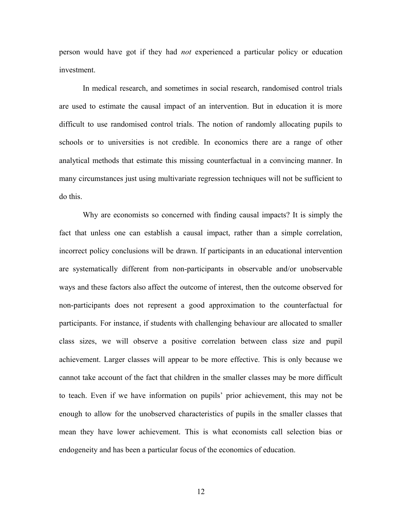person would have got if they had *not* experienced a particular policy or education investment.

In medical research, and sometimes in social research, randomised control trials are used to estimate the causal impact of an intervention. But in education it is more difficult to use randomised control trials. The notion of randomly allocating pupils to schools or to universities is not credible. In economics there are a range of other analytical methods that estimate this missing counterfactual in a convincing manner. In many circumstances just using multivariate regression techniques will not be sufficient to do this.

Why are economists so concerned with finding causal impacts? It is simply the fact that unless one can establish a causal impact, rather than a simple correlation, incorrect policy conclusions will be drawn. If participants in an educational intervention are systematically different from non-participants in observable and/or unobservable ways and these factors also affect the outcome of interest, then the outcome observed for non-participants does not represent a good approximation to the counterfactual for participants. For instance, if students with challenging behaviour are allocated to smaller class sizes, we will observe a positive correlation between class size and pupil achievement. Larger classes will appear to be more effective. This is only because we cannot take account of the fact that children in the smaller classes may be more difficult to teach. Even if we have information on pupils' prior achievement, this may not be enough to allow for the unobserved characteristics of pupils in the smaller classes that mean they have lower achievement. This is what economists call selection bias or endogeneity and has been a particular focus of the economics of education.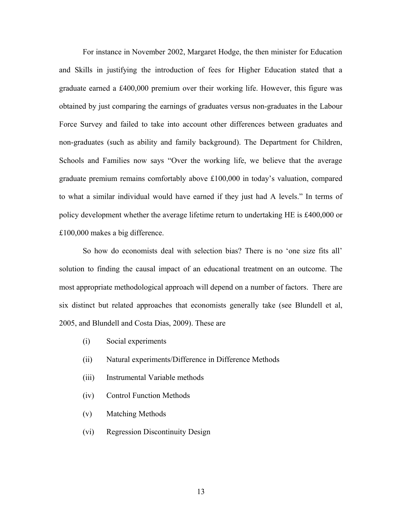For instance in November 2002, Margaret Hodge, the then minister for Education and Skills in justifying the introduction of fees for Higher Education stated that a graduate earned a £400,000 premium over their working life. However, this figure was obtained by just comparing the earnings of graduates versus non-graduates in the Labour Force Survey and failed to take into account other differences between graduates and non-graduates (such as ability and family background). The Department for Children, Schools and Families now says "Over the working life, we believe that the average graduate premium remains comfortably above £100,000 in today's valuation, compared to what a similar individual would have earned if they just had A levels." In terms of policy development whether the average lifetime return to undertaking HE is £400,000 or £100,000 makes a big difference.

So how do economists deal with selection bias? There is no 'one size fits all' solution to finding the causal impact of an educational treatment on an outcome. The most appropriate methodological approach will depend on a number of factors. There are six distinct but related approaches that economists generally take (see Blundell et al, 2005, and Blundell and Costa Dias, 2009). These are

- (i) Social experiments
- (ii) Natural experiments/Difference in Difference Methods
- (iii) Instrumental Variable methods
- (iv) Control Function Methods
- (v) Matching Methods
- (vi) Regression Discontinuity Design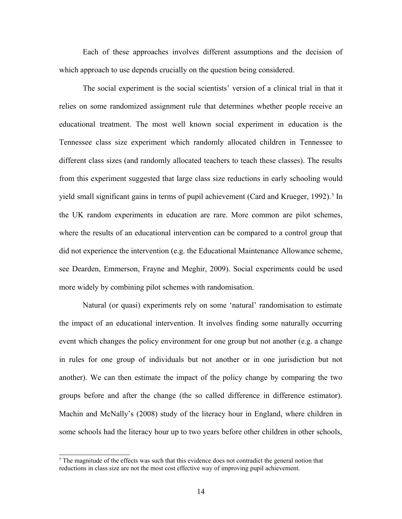Each of these approaches involves different assumptions and the decision of which approach to use depends crucially on the question being considered.

The social experiment is the social scientists' version of a clinical trial in that it relies on some randomized assignment rule that determines whether people receive an educational treatment. The most well known social experiment in education is the Tennessee class size experiment which randomly allocated children in Tennessee to different class sizes (and randomly allocated teachers to teach these classes). The results from this experiment suggested that large class size reductions in early schooling would yield small significant gains in terms of pupil achievement (Card and Krueger, 1992).<sup>[5](#page-13-0)</sup> In the UK random experiments in education are rare. More common are pilot schemes, where the results of an educational intervention can be compared to a control group that did not experience the intervention (e.g. the Educational Maintenance Allowance scheme, see Dearden, Emmerson, Frayne and Meghir, 2009). Social experiments could be used more widely by combining pilot schemes with randomisation.

Natural (or quasi) experiments rely on some 'natural' randomisation to estimate the impact of an educational intervention. It involves finding some naturally occurring event which changes the policy environment for one group but not another (e.g. a change in rules for one group of individuals but not another or in one jurisdiction but not another). We can then estimate the impact of the policy change by comparing the two groups before and after the change (the so called difference in difference estimator). Machin and McNally's (2008) study of the literacy hour in England, where children in some schools had the literacy hour up to two years before other children in other schools,

<span id="page-13-0"></span><sup>&</sup>lt;sup>5</sup> The magnitude of the effects was such that this evidence does not contradict the general notion that reductions in class size are not the most cost effective way of improving pupil achievement.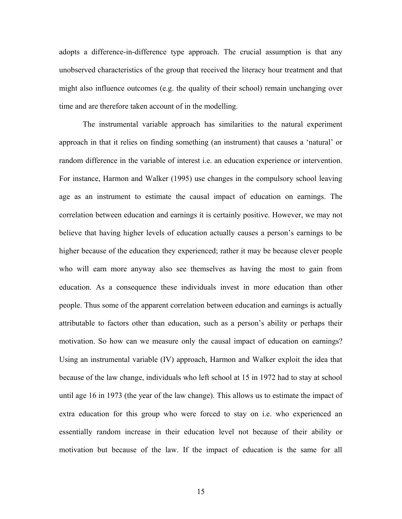adopts a difference-in-difference type approach. The crucial assumption is that any unobserved characteristics of the group that received the literacy hour treatment and that might also influence outcomes (e.g. the quality of their school) remain unchanging over time and are therefore taken account of in the modelling.

The instrumental variable approach has similarities to the natural experiment approach in that it relies on finding something (an instrument) that causes a 'natural' or random difference in the variable of interest i.e. an education experience or intervention. For instance, Harmon and Walker (1995) use changes in the compulsory school leaving age as an instrument to estimate the causal impact of education on earnings. The correlation between education and earnings it is certainly positive. However, we may not believe that having higher levels of education actually causes a person's earnings to be higher because of the education they experienced; rather it may be because clever people who will earn more anyway also see themselves as having the most to gain from education. As a consequence these individuals invest in more education than other people. Thus some of the apparent correlation between education and earnings is actually attributable to factors other than education, such as a person's ability or perhaps their motivation. So how can we measure only the causal impact of education on earnings? Using an instrumental variable (IV) approach, Harmon and Walker exploit the idea that because of the law change, individuals who left school at 15 in 1972 had to stay at school until age 16 in 1973 (the year of the law change). This allows us to estimate the impact of extra education for this group who were forced to stay on i.e. who experienced an essentially random increase in their education level not because of their ability or motivation but because of the law. If the impact of education is the same for all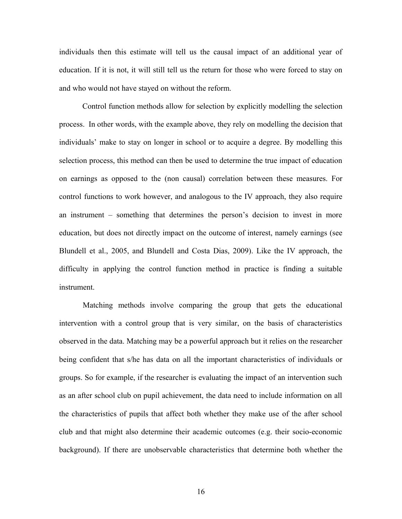individuals then this estimate will tell us the causal impact of an additional year of education. If it is not, it will still tell us the return for those who were forced to stay on and who would not have stayed on without the reform.

Control function methods allow for selection by explicitly modelling the selection process. In other words, with the example above, they rely on modelling the decision that individuals' make to stay on longer in school or to acquire a degree. By modelling this selection process, this method can then be used to determine the true impact of education on earnings as opposed to the (non causal) correlation between these measures. For control functions to work however, and analogous to the IV approach, they also require an instrument – something that determines the person's decision to invest in more education, but does not directly impact on the outcome of interest, namely earnings (see Blundell et al., 2005, and Blundell and Costa Dias, 2009). Like the IV approach, the difficulty in applying the control function method in practice is finding a suitable instrument.

Matching methods involve comparing the group that gets the educational intervention with a control group that is very similar, on the basis of characteristics observed in the data. Matching may be a powerful approach but it relies on the researcher being confident that s/he has data on all the important characteristics of individuals or groups. So for example, if the researcher is evaluating the impact of an intervention such as an after school club on pupil achievement, the data need to include information on all the characteristics of pupils that affect both whether they make use of the after school club and that might also determine their academic outcomes (e.g. their socio-economic background). If there are unobservable characteristics that determine both whether the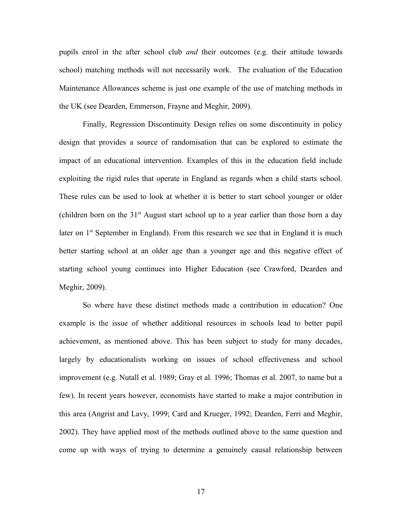pupils enrol in the after school club *and* their outcomes (e.g. their attitude towards school) matching methods will not necessarily work. The evaluation of the Education Maintenance Allowances scheme is just one example of the use of matching methods in the UK (see Dearden, Emmerson, Frayne and Meghir, 2009).

Finally, Regression Discontinuity Design relies on some discontinuity in policy design that provides a source of randomisation that can be explored to estimate the impact of an educational intervention. Examples of this in the education field include exploiting the rigid rules that operate in England as regards when a child starts school. These rules can be used to look at whether it is better to start school younger or older (children born on the  $31<sup>st</sup>$  August start school up to a year earlier than those born a day later on  $1<sup>st</sup>$  September in England). From this research we see that in England it is much better starting school at an older age than a younger age and this negative effect of starting school young continues into Higher Education (see Crawford, Dearden and Meghir, 2009).

So where have these distinct methods made a contribution in education? One example is the issue of whether additional resources in schools lead to better pupil achievement, as mentioned above. This has been subject to study for many decades, largely by educationalists working on issues of school effectiveness and school improvement (e.g. Nutall et al. 1989; Gray et al. 1996; Thomas et al. 2007, to name but a few). In recent years however, economists have started to make a major contribution in this area (Angrist and Lavy, 1999; Card and Krueger, 1992; Dearden, Ferri and Meghir, 2002). They have applied most of the methods outlined above to the same question and come up with ways of trying to determine a genuinely causal relationship between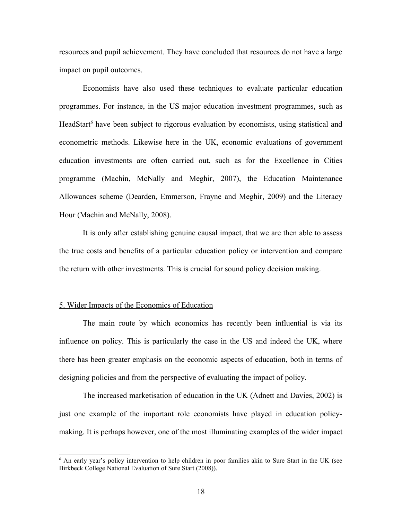resources and pupil achievement. They have concluded that resources do not have a large impact on pupil outcomes.

Economists have also used these techniques to evaluate particular education programmes. For instance, in the US major education investment programmes, such as HeadStart<sup>[6](#page-17-0)</sup> have been subject to rigorous evaluation by economists, using statistical and econometric methods. Likewise here in the UK, economic evaluations of government education investments are often carried out, such as for the Excellence in Cities programme (Machin, McNally and Meghir, 2007), the Education Maintenance Allowances scheme (Dearden, Emmerson, Frayne and Meghir, 2009) and the Literacy Hour (Machin and McNally, 2008).

It is only after establishing genuine causal impact, that we are then able to assess the true costs and benefits of a particular education policy or intervention and compare the return with other investments. This is crucial for sound policy decision making.

# 5. W ider Impacts of the Economics of Education

The main route by which economics has recently been influential is via its influence on policy. This is particularly the case in the US and indeed the UK, where there has been greater emphasis on the economic aspects of education, both in terms of designing policies and from the perspective of evaluating the impact of policy.

The increased marketisation of education in the UK (Adnett and Davies, 2002) is just one example of the important role economists have played in education policymaking. It is perhaps however, one of the most illuminating examples of the wider impact

<span id="page-17-0"></span><sup>6</sup> An early year's policy intervention to help children in poor families akin to Sure Start in the UK (see [Birkbeck College National Evaluation of Sure Start](http://www.childcareresearch.org/cocoon/CCEERC/SEARCH/web/results-new.xml?searchType=author&authorId=8830&authorName=Birkbeck+College.+National+Evaluation+of+Sure+Start&sortBy=5&sessionId=FCAC5E3A73D1BF20B5945C0D9288AB59) (2008)).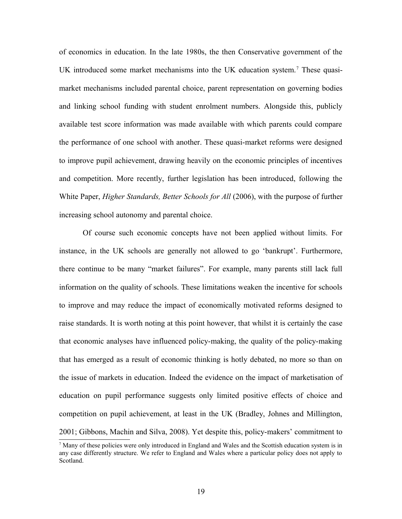of economics in education. In the late 1980s, the then Conservative government of the UK introduced some market mechanisms into the UK education system.<sup>[7](#page-18-0)</sup> These quasimarket mechanisms included parental choice, parent representation on governing bodies and linking school funding with student enrolment numbers. Alongside this, publicly available test score information was made available with which parents could compare the performance of one school with another. These quasi-market reforms were designed to improve pupil achievement, drawing heavily on the economic principles of incentives and competition. More recently, further legislation has been introduced, following the White Paper, *Higher Standards, Better Schools for All* (2006), with the purpose of further increasing school autonomy and parental choice.

Of course such economic concepts have not been applied without limits. For instance, in the UK schools are generally not allowed to go 'bankrupt'. Furthermore, there continue to be many "market failures". For example, many parents still lack full information on the quality of schools. These limitations weaken the incentive for schools to improve and may reduce the impact of economically motivated reforms designed to raise standards. It is worth noting at this point however, that whilst it is certainly the case that economic analyses have influenced policy-making, the quality of the policy-making that has emerged as a result of economic thinking is hotly debated, no more so than on the issue of markets in education. Indeed the evidence on the impact of marketisation of education on pupil performance suggests only limited positive effects of choice and competition on pupil achievement, at least in the UK (Bradley, Johnes and Millington, 2001; Gibbons, Machin and Silva, 2008). Yet despite this, policy-makers' commitment to

<span id="page-18-0"></span><sup>&</sup>lt;sup>7</sup> Many of these policies were only introduced in England and Wales and the Scottish education system is in any case differently structure. We refer to England and Wales where a particular policy does not apply to Scotland.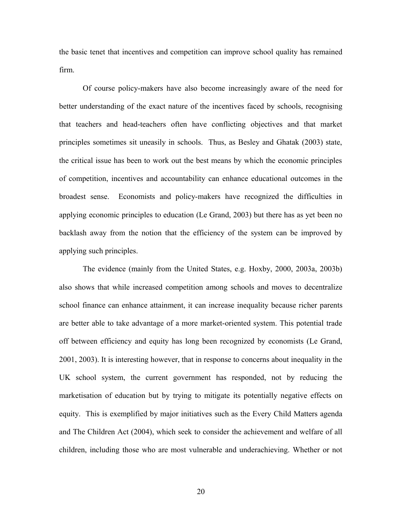the basic tenet that incentives and competition can improve school quality has remained firm.

Of course policy-makers have also become increasingly aware of the need for better understanding of the exact nature of the incentives faced by schools, recognising that teachers and head-teachers often have conflicting objectives and that market principles sometimes sit uneasily in schools. Thus, as Besley and Ghatak (2003) state, the critical issue has been to work out the best means by which the economic principles of competition, incentives and accountability can enhance educational outcomes in the broadest sense. Economists and policy-makers have recognized the difficulties in applying economic principles to education (Le Grand, 2003) but there has as yet been no backlash away from the notion that the efficiency of the system can be improved by applying such principles.

The evidence (mainly from the United States, e.g. Hoxby, 2000, 2003a, 2003b) also shows that while increased competition among schools and moves to decentralize school finance can enhance attainment, it can increase inequality because richer parents are better able to take advantage of a more market-oriented system. This potential trade off between efficiency and equity has long been recognized by economists (Le Grand, 2001, 2003). It is interesting however, that in response to concerns about inequality in the UK school system, the current government has responded, not by reducing the marketisation of education but by trying to mitigate its potentially negative effects on equity. This is exemplified by major initiatives such as the Every Child Matters agenda and The Children Act (2004), which seek to consider the achievement and welfare of all children, including those who are most vulnerable and underachieving. Whether or not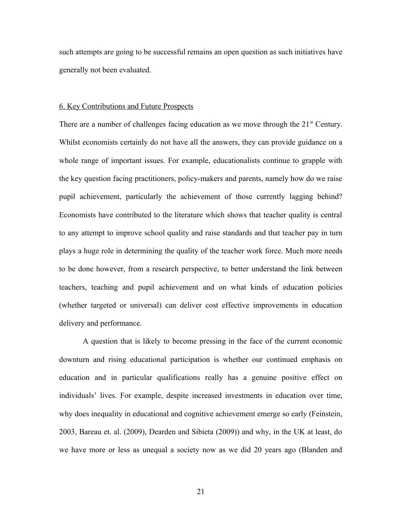such attempts are going to be successful remains an open question as such initiatives have generally not been evaluated.

# 6. Key Contributions and Future Prospects

There are a number of challenges facing education as we move through the  $21<sup>st</sup>$  Century. Whilst economists certainly do not have all the answers, they can provide guidance on a whole range of important issues. For example, educationalists continue to grapple with the key question facing practitioners, policy-makers and parents, namely how do we raise pupil achievement, particularly the achievement of those currently lagging behind? Economists have contributed to the literature which shows that teacher quality is central to any attempt to improve school quality and raise standards and that teacher pay in turn plays a huge role in determining the quality of the teacher work force. Much more needs to be done however, from a research perspective, to better understand the link between teachers, teaching and pupil achievement and on what kinds of education policies (whether targeted or universal) can deliver cost effective improvements in education delivery and performance.

A question that is likely to become pressing in the face of the current economic downturn and rising educational participation is whether our continued emphasis on education and in particular qualifications really has a genuine positive effect on individuals' lives. For example, despite increased investments in education over time, why does inequality in educational and cognitive achievement emerge so early (Feinstein, 2003, Bareau et. al. (2009), Dearden and Sibieta (2009)) and why, in the UK at least, do we have more or less as unequal a society now as we did 20 years ago (Blanden and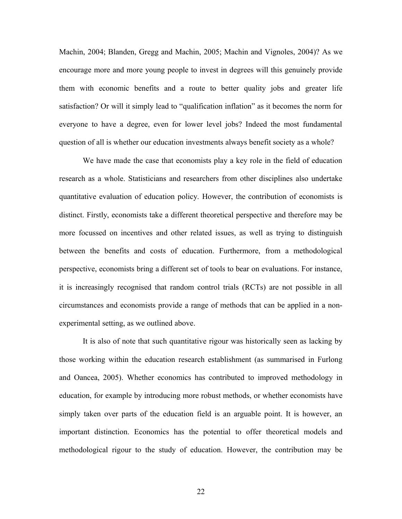Machin, 2004; Blanden, Gregg and Machin, 2005; Machin and Vignoles, 2004)? As we encourage more and more young people to invest in degrees will this genuinely provide them with economic benefits and a route to better quality jobs and greater life satisfaction? Or will it simply lead to "qualification inflation" as it becomes the norm for everyone to have a degree, even for lower level jobs? Indeed the most fundamental question of all is whether our education investments always benefit society as a whole?

We have made the case that economists play a key role in the field of education research as a whole. Statisticians and researchers from other disciplines also undertake quantitative evaluation of education policy. However, the contribution of economists is distinct. Firstly, economists take a different theoretical perspective and therefore may be more focussed on incentives and other related issues, as well as trying to distinguish between the benefits and costs of education. Furthermore, from a methodological perspective, economists bring a different set of tools to bear on evaluations. For instance, it is increasingly recognised that random control trials (RCTs) are not possible in all circumstances and economists provide a range of methods that can be applied in a nonexperimental setting, as we outlined above.

It is also of note that such quantitative rigour was historically seen as lacking by those working within the education research establishment (as summarised in Furlong and Oancea, 2005). Whether economics has contributed to improved methodology in education, for example by introducing more robust methods, or whether economists have simply taken over parts of the education field is an arguable point. It is however, an important distinction. Economics has the potential to offer theoretical models and methodological rigour to the study of education. However, the contribution may be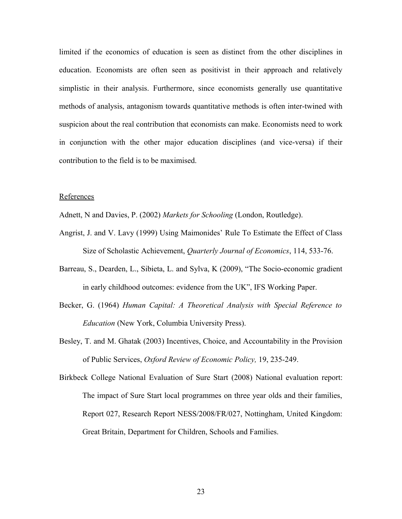limited if the economics of education is seen as distinct from the other disciplines in education. Economists are often seen as positivist in their approach and relatively simplistic in their analysis. Furthermore, since economists generally use quantitative methods of analysis, antagonism towards quantitative methods is often inter-twined with suspicion about the real contribution that economists can make. Economists need to work in conjunction with the other major education disciplines (and vice-versa) if their contribution to the field is to be maximised.

# References

Adnett, N and Davies, P. (2002) *Markets for Schooling* (London, Routledge).

- Angrist, J. and V. Lavy (1999) Using Maimonides' Rule To Estimate the Effect of Class Size of Scholastic Achievement, *Quarterly Journal of Economics*, 114, 533-76.
- Barreau, S., Dearden, L., Sibieta, L. and Sylva, K (2009), "The Socio-economic gradient in early childhood outcomes: evidence from the UK", IFS Working Paper.
- Becker, G. (1964) *Human Capital: A Theoretical Analysis with Special Reference to Education* (New York, Columbia University Press).
- Besley, T. and M. Ghatak (2003) Incentives, Choice, and Accountability in the Provision of Public Services, *Oxford Review of Economic Policy,* 19, 235-249.
- [Birkbeck College National Evaluation of Sure Start](http://www.childcareresearch.org/cocoon/CCEERC/SEARCH/web/results-new.xml?searchType=author&authorId=8830&authorName=Birkbeck+College.+National+Evaluation+of+Sure+Start&sortBy=5&sessionId=FCAC5E3A73D1BF20B5945C0D9288AB59) (2008) National evaluation report: The impact of Sure Start local programmes on three year olds and their families, Report 027, Research Report NESS/2008/FR/027, Nottingham, United Kingdom: Great Britain, Department for Children, Schools and Families.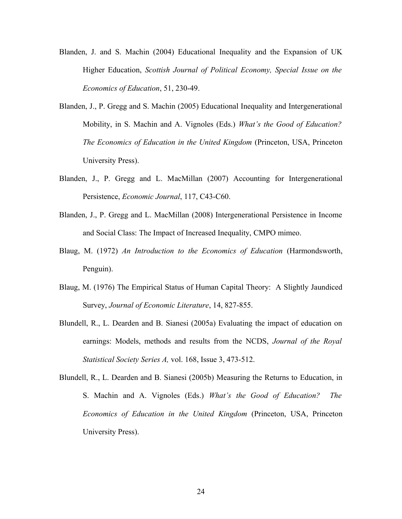- Blanden, J. and S. Machin (2004) Educational Inequality and the Expansion of UK Higher Education, *Scottish Journal of Political Economy, Special Issue on the Economics of Education*, 51, 230-49.
- Blanden, J., P. Gregg and S. Machin (2005) Educational Inequality and Intergenerational Mobility, in S. Machin and A. Vignoles (Eds.) *What's the Good of Education? The Economics of Education in the United Kingdom* (Princeton, USA, Princeton University Press).
- Blanden, J., P. Gregg and L. MacMillan (2007) Accounting for Intergenerational Persistence, *Economic Journal*, 117, C43-C60.
- Blanden, J., P. Gregg and L. MacMillan (2008) Intergenerational Persistence in Income and Social Class: The Impact of Increased Inequality, CMPO mimeo.
- Blaug, M. (1972) *An Introduction to the Economics of Education* (Harmondsworth, Penguin).
- Blaug, M. (1976) The Empirical Status of Human Capital Theory: A Slightly Jaundiced Survey, *Journal of Economic Literature*, 14, 827-855.
- Blundell, R., L. Dearden and B. Sianesi (2005a) Evaluating the impact of education on earnings: Models, methods and results from the NCDS, *Journal of the Royal Statistical Society Series A,* vol. 168, Issue 3, 473-512.
- Blundell, R., L. Dearden and B. Sianesi (2005b) Measuring the Returns to Education, in S. Machin and A. Vignoles (Eds.) *What's the Good of Education? The Economics of Education in the United Kingdom* (Princeton, USA, Princeton University Press).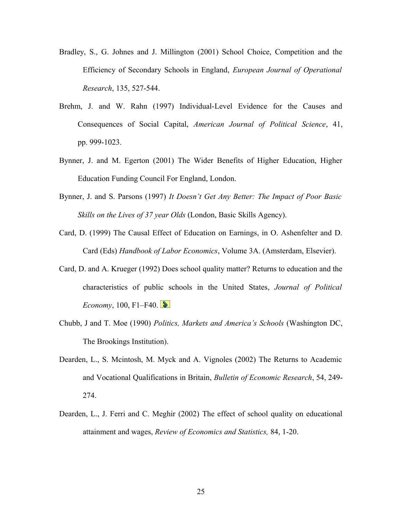- Bradley, S., G. Johnes and J. Millington (2001) School Choice, Competition and the Efficiency of Secondary Schools in England, *European Journal of Operational Research*, 135, 527-544.
- Brehm, J. and W. Rahn (1997) Individual-Level Evidence for the Causes and Consequences of Social Capital, *American Journal of Political Science*, 41, pp. 999-1023.
- Bynner, J. and M. Egerton (2001) The Wider Benefits of Higher Education, Higher Education Funding Council For England, London.
- Bynner, J. and S. Parsons (1997) *It Doesn't Get Any Better: The Impact of Poor Basic Skills on the Lives of 37 year Olds* (London, Basic Skills Agency).
- Card, D. (1999) The Causal Effect of Education on Earnings, in O. Ashenfelter and D. Card (Eds) *Handbook of Labor Economics*, Volume 3A. (Amsterdam, Elsevier).
- Card, D. and A. Krueger (1992) Does school quality matter? Returns to education and the characteristics of public schools in the United States, *Journal of Political Economy*, 100, F1–F40.
- Chubb, J and T. Moe (1990) *Politics, Markets and America's Schools* (Washington DC, The Brookings Institution).
- Dearden, L., S. Mcintosh, M. Myck and A. Vignoles (2002) The Returns to Academic and Vocational Qualifications in Britain, *Bulletin of Economic Research*, 54, 249- 274.
- Dearden, L., J. Ferri and C. Meghir (2002) The effect of school quality on educational attainment and wages, *Review of Economics and Statistics,* 84, 1-20.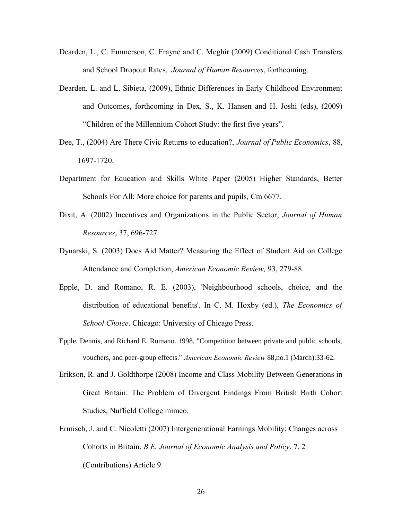- Dearden, L., C. Emmerson, C. Frayne and C. Meghir (2009) Conditional Cash Transfers and School Dropout Rates, *Journal of Human Resources*, forthcoming.
- Dearden, L. and L. Sibieta, (2009), Ethnic Differences in Early Childhood Environment and Outcomes, forthcoming in Dex, S., K. Hansen and H. Joshi (eds), (2009) "Children of the Millennium Cohort Study: the first five years".
- Dee, T., (2004) Are There Civic Returns to education?, *Journal of Public Economics*, 88, 1697-1720.
- Department for Education and Skills White Paper (2005) Higher Standards, Better Schools For All: More choice for parents and pupils*,* Cm 6677.
- Dixit, A. (2002) Incentives and Organizations in the Public Sector, *Journal of Human Resources*, 37, 696-727.
- Dynarski, S. (2003) Does Aid Matter? Measuring the Effect of Student Aid on College Attendance and Completion, *American Economic Review,* 93, 279-88.
- Epple, D. and Romano, R. E. (2003), 'Neighbourhood schools, choice, and the distribution of educational benefits'. In C. M. Hoxby (ed.), *The Economics of School Choice*. Chicago: University of Chicago Press.
- Epple, Dennis, and Richard E. Romano. 1998. "Competition between private and public schools, vouchers, and peer-group effects." *American Economic Review* 88,no.1 (March):33-62.
- Erikson, R. and J. Goldthorpe (2008) Income and Class Mobility Between Generations in Great Britain: The Problem of Divergent Findings From British Birth Cohort Studies, Nuffield College mimeo.
- Ermisch, J. and C. Nicoletti (2007) Intergenerational Earnings Mobility: Changes across Cohorts in Britain, *B.E. Journal of Economic Analysis and Policy*, 7, 2 (Contributions) Article 9.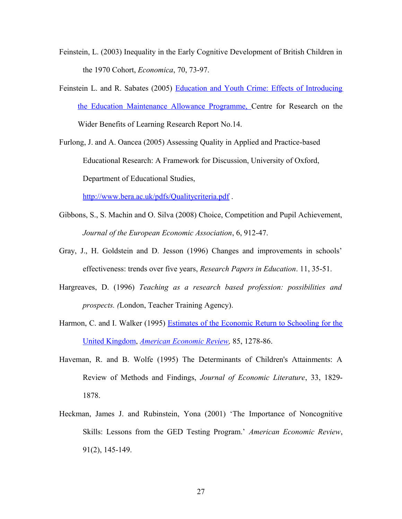- Feinstein, L. (2003) Inequality in the Early Cognitive Development of British Children in the 1970 Cohort, *Economica*, 70, 73-97.
- Feinstein L. and R. Sabates (2005) [Education and Youth Crime: Effects of Introducing](http://www.learningbenefits.net/pdf/researchReports/ResRep14.pdf) [the Education Maintenance Allowance Programme, C](http://www.learningbenefits.net/pdf/researchReports/ResRep14.pdf)entre for Research on the Wider Benefits of Learning Research Report No.14.

Furlong, J. and A. Oancea (2005) Assessing Quality in Applied and Practice-based Educational Research: A Framework for Discussion, University of Oxford, Department of Educational Studies,

<http://www.bera.ac.uk/pdfs/Qualitycriteria.pdf>.

- Gibbons, S., S. Machin and O. Silva (2008) Choice, Competition and Pupil Achievement, *Journal of the European Economic Association*, 6, 912-47.
- Gray, J., H. Goldstein and D. Jesson (1996) Changes and improvements in schools' effectiveness: trends over five years, *Research Papers in Education*. 11, 35-51.
- Hargreaves, D. (1996) *Teaching as a research based profession: possibilities and prospects. (*London, Teacher Training Agency).
- Harmon, C. and I. Walker (1995) [Estimates of the Economic Return to Schooling for the](http://ideas.repec.org/a/aea/aecrev/v85y1995i5p1278-86.html) [United Kingdom,](http://ideas.repec.org/a/aea/aecrev/v85y1995i5p1278-86.html) *[American Economic Review,](http://ideas.repec.org/s/aea/aecrev.html)* 85, 1278-86.
- Haveman, R. and B. Wolfe (1995) The Determinants of Children's Attainments: A Review of Methods and Findings, *Journal of Economic Literature*, 33, 1829- 1878.
- Heckman, James J. and Rubinstein, Yona (2001) 'The Importance of Noncognitive Skills: Lessons from the GED Testing Program.' *American Economic Review*, 91(2), 145-149.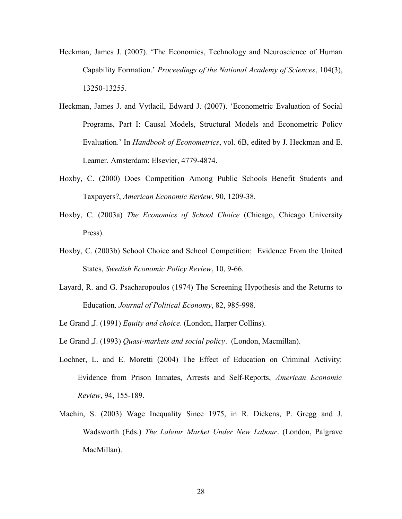- Heckman, James J. (2007). 'The Economics, Technology and Neuroscience of Human Capability Formation.' *Proceedings of the National Academy of Sciences*, 104(3), 13250-13255.
- Heckman, James J. and Vytlacil, Edward J. (2007). 'Econometric Evaluation of Social Programs, Part I: Causal Models, Structural Models and Econometric Policy Evaluation.' In *Handbook of Econometrics*, vol. 6B, edited by J. Heckman and E. Leamer. Amsterdam: Elsevier, 4779-4874.
- Hoxby, C. (2000) Does Competition Among Public Schools Benefit Students and Taxpayers?, *American Economic Review*, 90, 1209-38.
- Hoxby, C. (2003a) *The Economics of School Choice* (Chicago, Chicago University Press).
- Hoxby, C. (2003b) School Choice and School Competition: Evidence From the United States, *Swedish Economic Policy Review*, 10, 9-66.
- Layard, R. and G. Psacharopoulos (1974) The Screening Hypothesis and the Returns to Education*, Journal of Political Economy*, 82, 985-998.
- Le Grand ,J. (1991) *Equity and choice*. (London, Harper Collins).
- Le Grand ,J. (1993) *Quasi-markets and social policy*. (London, Macmillan).
- Lochner, L. and E. Moretti (2004) The Effect of Education on Criminal Activity: Evidence from Prison Inmates, Arrests and Self-Reports, *American Economic Review*, 94, 155-189.
- Machin, S. (2003) Wage Inequality Since 1975, in R. Dickens, P. Gregg and J. Wadsworth (Eds.) *The Labour Market Under New Labour*. (London, Palgrave MacMillan).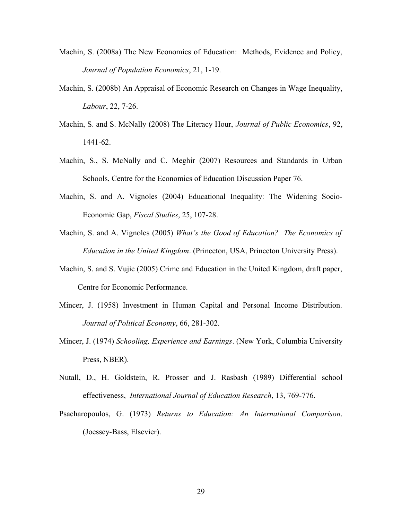- Machin, S. (2008a) The New Economics of Education: Methods, Evidence and Policy, *Journal of Population Economics*, 21, 1-19.
- Machin, S. (2008b) An Appraisal of Economic Research on Changes in Wage Inequality, *Labour*, 22, 7-26.
- Machin, S. and S. McNally (2008) The Literacy Hour, *Journal of Public Economics*, 92, 1441-62.
- Machin, S., S. McNally and C. Meghir (2007) Resources and Standards in Urban Schools, Centre for the Economics of Education Discussion Paper 76.
- Machin, S. and A. Vignoles (2004) Educational Inequality: The Widening Socio-Economic Gap, *Fiscal Studies*, 25, 107-28.
- Machin, S. and A. Vignoles (2005) *What's the Good of Education? The Economics of Education in the United Kingdom*. (Princeton, USA, Princeton University Press).
- Machin, S. and S. Vujic (2005) Crime and Education in the United Kingdom, draft paper, Centre for Economic Performance.
- Mincer, J. (1958) Investment in Human Capital and Personal Income Distribution. *Journal of Political Economy*, 66, 281-302.
- Mincer, J. (1974) *Schooling, Experience and Earnings*. (New York, Columbia University Press, NBER).
- Nutall, D., H. Goldstein, R. Prosser and J. Rasbash (1989) Differential school effectiveness, *International Journal of Education Research*, 13, 769-776.
- Psacharopoulos, G. (1973) *Returns to Education: An International Comparison*. (Joessey-Bass, Elsevier).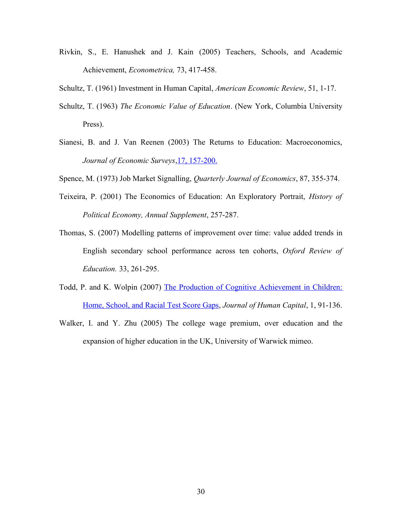- Rivkin, S., E. Hanushek and J. Kain (2005) Teachers, Schools, and Academic Achievement, *Econometrica,* 73, 417-458.
- Schultz, T. (1961) [Investment in Human Capital,](http://www.jstor.org/) *American Economic Review*, 51, 1-17.
- Schultz, T. (1963) *The Economic Value of Education*. (New York, Columbia University Press).
- Sianesi, B. and J. Van Reenen (2003) The Returns to Education: Macroeconomics, *Journal of Economic Surveys*[,17, 157-200.](javascript:WinOpen(250627);)
- Spence, M. (1973) Job Market Signalling, *Quarterly Journal of Economics*, 87, 355-374.
- Teixeira, P. (2001) The Economics of Education: An Exploratory Portrait, *History of Political Economy, Annual Supplement*, 257-287.
- Thomas, S. (2007) Modelling patterns of improvement over time: value added trends in English secondary school performance across ten cohorts, *Oxford Review of Education.* 33, 261-295.
- Todd, P. and K. Wolpin (2007) [The Production of Cognitive Achievement in Children:](http://www.journals.uchicago.edu/doi/abs/10.1086/526401) [Home, School, and Racial Test Score Gaps,](http://www.journals.uchicago.edu/doi/abs/10.1086/526401) *Journal of Human Capital*, 1, 91-136.
- Walker, I. and Y. Zhu (2005) The college wage premium, over education and the expansion of higher education in the UK, University of Warwick mimeo.